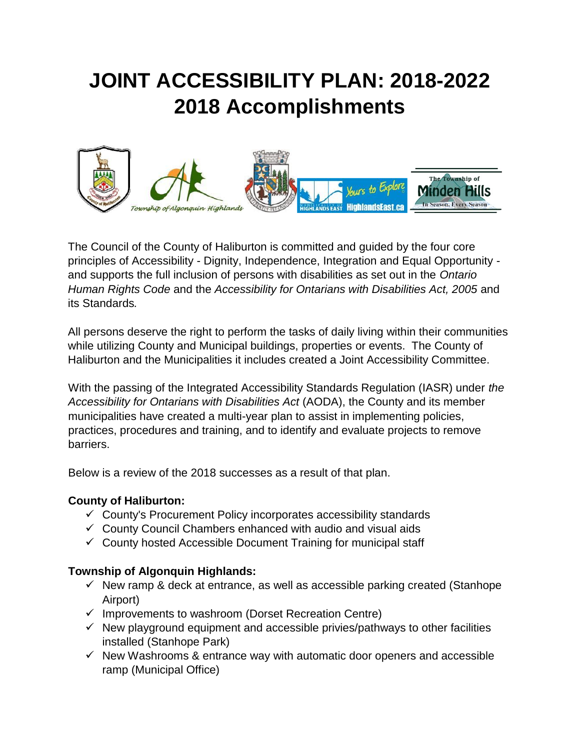# **JOINT ACCESSIBILITY PLAN: 2018-2022 2018 Accomplishments**



The Council of the County of Haliburton is committed and guided by the four core principles of Accessibility - Dignity, Independence, Integration and Equal Opportunity and supports the full inclusion of persons with disabilities as set out in the *Ontario Human Rights Code* and the *Accessibility for Ontarians with Disabilities Act, 2005* and its Standards*.*

All persons deserve the right to perform the tasks of daily living within their communities while utilizing County and Municipal buildings, properties or events. The County of Haliburton and the Municipalities it includes created a Joint Accessibility Committee.

With the passing of the Integrated Accessibility Standards Regulation (IASR) under *the Accessibility for Ontarians with Disabilities Act* (AODA), the County and its member municipalities have created a multi-year plan to assist in implementing policies, practices, procedures and training, and to identify and evaluate projects to remove barriers.

Below is a review of the 2018 successes as a result of that plan.

## **County of Haliburton:**

- $\checkmark$  County's Procurement Policy incorporates accessibility standards
- $\checkmark$  County Council Chambers enhanced with audio and visual aids
- $\checkmark$  County hosted Accessible Document Training for municipal staff

## **Township of Algonquin Highlands:**

- $\checkmark$  New ramp & deck at entrance, as well as accessible parking created (Stanhope Airport)
- $\checkmark$  Improvements to washroom (Dorset Recreation Centre)
- $\checkmark$  New playground equipment and accessible privies/pathways to other facilities installed (Stanhope Park)
- $\checkmark$  New Washrooms & entrance way with automatic door openers and accessible ramp (Municipal Office)